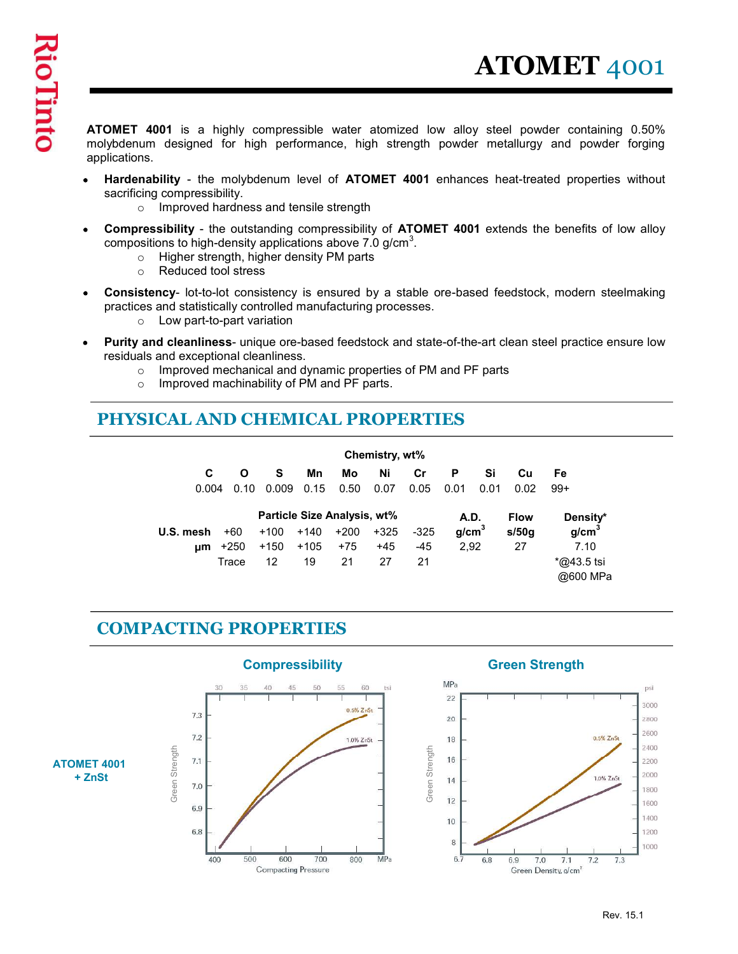ATOMET 4001 is a highly compressible water atomized low alloy steel powder containing 0.50% molybdenum designed for high performance, high strength powder metallurgy and powder forging applications.

- Hardenability the molybdenum level of ATOMET 4001 enhances heat-treated properties without Ă sacrificing compressibility.
	- o Improved hardness and tensile strength
- Compressibility the outstanding compressibility of ATOMET 4001 extends the benefits of low alloy compositions to high-density applications above 7.0 g/cm $^3$ .
	- o Higher strength, higher density PM parts
	- o Reduced tool stress
- Consistency- lot-to-lot consistency is ensured by a stable ore-based feedstock, modern steelmaking practices and statistically controlled manufacturing processes.
	- o Low part-to-part variation
- Purity and cleanliness- unique ore-based feedstock and state-of-the-art clean steel practice ensure low residuals and exceptional cleanliness.
	- o Improved mechanical and dynamic properties of PM and PF parts
	- o Improved machinability of PM and PF parts.

## PHYSICAL AND CHEMICAL PROPERTIES

|           |              |                             |                                                   |                                              |            |                                                                                                                                                                 |                                                                                                                                       |                                     |             | ability - the molybdenum level of ATOMET 4001 enhances heat-treated properties without                                                                                                                                                                                                                                                                                  |
|-----------|--------------|-----------------------------|---------------------------------------------------|----------------------------------------------|------------|-----------------------------------------------------------------------------------------------------------------------------------------------------------------|---------------------------------------------------------------------------------------------------------------------------------------|-------------------------------------|-------------|-------------------------------------------------------------------------------------------------------------------------------------------------------------------------------------------------------------------------------------------------------------------------------------------------------------------------------------------------------------------------|
|           |              |                             |                                                   |                                              |            |                                                                                                                                                                 |                                                                                                                                       |                                     |             |                                                                                                                                                                                                                                                                                                                                                                         |
|           |              |                             |                                                   |                                              |            |                                                                                                                                                                 |                                                                                                                                       |                                     |             |                                                                                                                                                                                                                                                                                                                                                                         |
|           |              |                             |                                                   |                                              |            |                                                                                                                                                                 |                                                                                                                                       |                                     |             |                                                                                                                                                                                                                                                                                                                                                                         |
|           |              |                             |                                                   |                                              |            |                                                                                                                                                                 |                                                                                                                                       |                                     |             |                                                                                                                                                                                                                                                                                                                                                                         |
| C         | $\mathbf{o}$ | s                           | Mn<br>0.15                                        | Mo<br>0.50                                   | Ni<br>0.07 | Cr<br>0.05                                                                                                                                                      | P<br>0.01                                                                                                                             | Si                                  | Cu<br>0.02  | Fe<br>$99+$                                                                                                                                                                                                                                                                                                                                                             |
|           |              |                             |                                                   |                                              |            |                                                                                                                                                                 |                                                                                                                                       |                                     | <b>Flow</b> | Density*                                                                                                                                                                                                                                                                                                                                                                |
| U.S. mesh | $+60$        | $+100$                      | $+140$                                            | $+200$                                       | $+325$     | $-325$                                                                                                                                                          | g/cm <sup>3</sup>                                                                                                                     |                                     | s/50g       | g/cm <sup>3</sup>                                                                                                                                                                                                                                                                                                                                                       |
|           | $\mu m$ +250 | $+150$                      | $+105$                                            | $+75$                                        | $+45$      | -45                                                                                                                                                             | 2,92                                                                                                                                  |                                     | 27          | 7.10                                                                                                                                                                                                                                                                                                                                                                    |
|           | Trace        | 12                          | 19                                                | 21                                           | 27         | 21                                                                                                                                                              |                                                                                                                                       |                                     |             | $*$ @43.5 tsi                                                                                                                                                                                                                                                                                                                                                           |
|           |              | g compressibility.<br>0.004 | Reduced tool stress<br>Low part-to-part variation | and exceptional cleanliness.<br>$0.10$ 0.009 |            | Improved hardness and tensile strength<br>Higher strength, higher density PM parts<br>Improved machinability of PM and PF parts.<br>Particle Size Analysis, wt% | tions to high-density applications above 7.0 g/cm $^3$ .<br>s and statistically controlled manufacturing processes.<br>Chemistry, wt% | <b>ICAL AND CHEMICAL PROPERTIES</b> | <b>A.D.</b> | ssibility - the outstanding compressibility of ATOMET 4001 extends the benefits of low alloy<br>ency- lot-to-lot consistency is ensured by a stable ore-based feedstock, modern steelmaking<br>nd cleanliness- unique ore-based feedstock and state-of-the-art clean steel practice ensure low<br>Improved mechanical and dynamic properties of PM and PF parts<br>0.01 |

### COMPACTING PROPERTIES

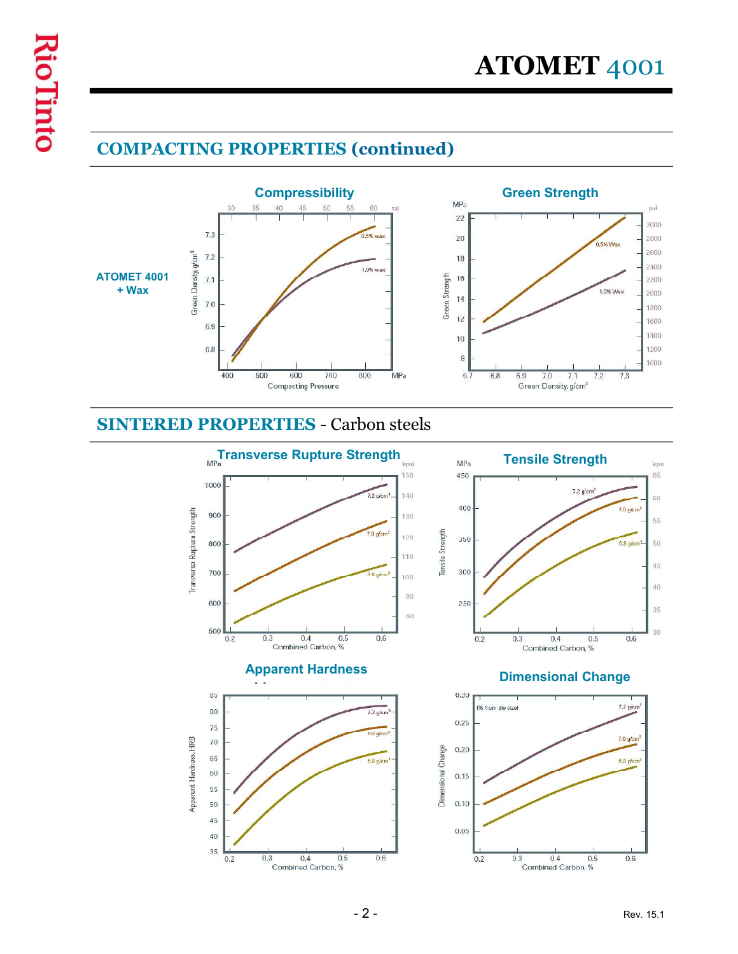# COMPACTING PROPERTIES (continued)





### SINTERED PROPERTIES - Carbon steels

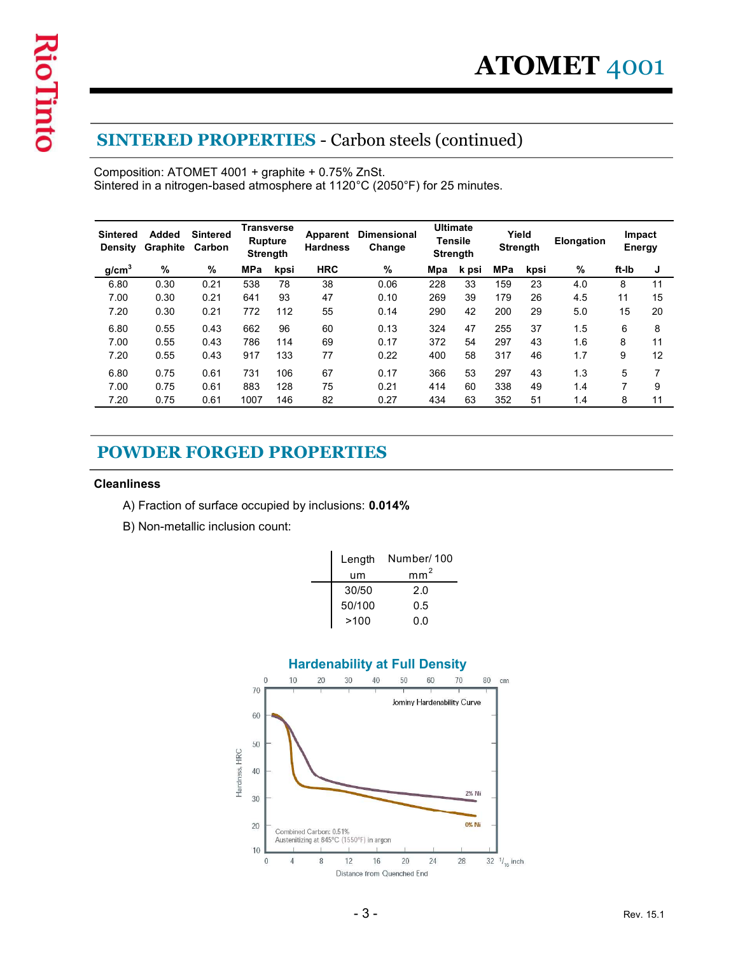## SINTERED PROPERTIES - Carbon steels (continued)

|                            |                                        |                 |                                                        |            |                                                   | <b>SINTERED PROPERTIES - Carbon steels (continued)</b>                     |            |                                                      |            |                          |            |                         |                     |
|----------------------------|----------------------------------------|-----------------|--------------------------------------------------------|------------|---------------------------------------------------|----------------------------------------------------------------------------|------------|------------------------------------------------------|------------|--------------------------|------------|-------------------------|---------------------|
|                            |                                        |                 |                                                        |            | Composition: ATOMET 4001 + graphite + 0.75% ZnSt. | Sintered in a nitrogen-based atmosphere at 1120°C (2050°F) for 25 minutes. |            |                                                      |            |                          |            |                         |                     |
| Sintered<br><b>Density</b> | <b>Added</b><br><b>Graphite Carbon</b> | <b>Sintered</b> | <b>Transverse</b><br><b>Rupture</b><br><b>Strength</b> |            | Apparent<br><b>Hardness</b>                       | <b>Dimensional</b><br>Change                                               |            | <b>Ultimate</b><br><b>Tensile</b><br><b>Strength</b> |            | Yield<br><b>Strength</b> | Elongation | Impact<br><b>Energy</b> |                     |
| g/cm <sup>3</sup>          | %                                      | %               | MPa                                                    | kpsi       | <b>HRC</b>                                        | %                                                                          | Mpa        | k psi                                                | MPa        | kpsi                     | %          | ft-Ib                   | J                   |
| 6.80                       | 0.30                                   | 0.21            | 538                                                    | 78         | 38                                                | 0.06                                                                       | 228        | 33                                                   | 159        | 23                       | 4.0        | 8                       | 11                  |
| 7.00<br>7.20               | 0.30<br>0.30                           | 0.21<br>0.21    | 641<br>772                                             | 93<br>112  | 47<br>55                                          | 0.10<br>0.14                                                               | 269<br>290 | 39<br>42                                             | 179<br>200 | 26<br>29                 | 4.5<br>5.0 | 11<br>15                | 15<br>20            |
| 6.80                       | 0.55                                   | 0.43            | 662                                                    | 96         | 60                                                | 0.13                                                                       | 324        | 47                                                   | 255        | 37                       | 1.5        | 6                       | 8                   |
| 7.00                       | 0.55                                   | 0.43            | 786                                                    | 114        | 69                                                | 0.17                                                                       | 372        | 54                                                   | 297        | 43                       | 1.6        | 8                       | 11                  |
| 7.20                       | 0.55                                   | 0.43            | 917                                                    | 133        | 77                                                | 0.22                                                                       | 400        | 58                                                   | 317        | 46                       | 1.7        | 9                       | 12                  |
| 6.80<br>7.00               | 0.75<br>0.75                           | 0.61<br>0.61    | 731<br>883                                             | 106<br>128 | 67<br>75                                          | 0.17<br>0.21                                                               | 366<br>414 | 53<br>60                                             | 297<br>338 | 43<br>49                 | 1.3<br>1.4 | 5<br>$\overline{7}$     | $\overline{7}$<br>9 |
| 7.20                       | 0.75                                   | 0.61            | 1007                                                   | 146        | 82                                                | 0.27                                                                       | 434        | 63                                                   | 352        | 51                       | 1.4        | 8                       | 11                  |
| <b>Cleanliness</b>         |                                        |                 |                                                        |            | <b>POWDER FORGED PROPERTIES</b>                   |                                                                            |            |                                                      |            |                          |            |                         |                     |
|                            |                                        |                 |                                                        |            |                                                   | A) Fraction of surface occupied by inclusions: 0.014%                      |            |                                                      |            |                          |            |                         |                     |
|                            | B) Non-metallic inclusion count:       |                 |                                                        |            |                                                   |                                                                            |            |                                                      |            |                          |            |                         |                     |
|                            |                                        |                 |                                                        |            |                                                   | Number/100<br>Length                                                       |            |                                                      |            |                          |            |                         |                     |
|                            |                                        |                 |                                                        |            |                                                   | $\text{mm}^2$<br>um                                                        |            |                                                      |            |                          |            |                         |                     |
|                            |                                        |                 |                                                        |            |                                                   | 30/50                                                                      | $2.0\,$    |                                                      |            |                          |            |                         |                     |
|                            |                                        |                 |                                                        |            |                                                   |                                                                            |            |                                                      |            |                          |            |                         |                     |
|                            |                                        |                 |                                                        |            |                                                   | 50/100<br>0.5<br>>100<br>$0.0\,$                                           |            |                                                      |            |                          |            |                         |                     |

## POWDER FORGED PROPERTIES

#### **Cleanliness**

- A) Fraction of surface occupied by inclusions: 0.014%
- B) Non-metallic inclusion count:

| Length<br>um | Number/100<br>mm |
|--------------|------------------|
|              |                  |
| 30/50        | 2.0              |
| 50/100       | 0.5              |
| >100         | 0.0              |

### Hardenability at Full Density